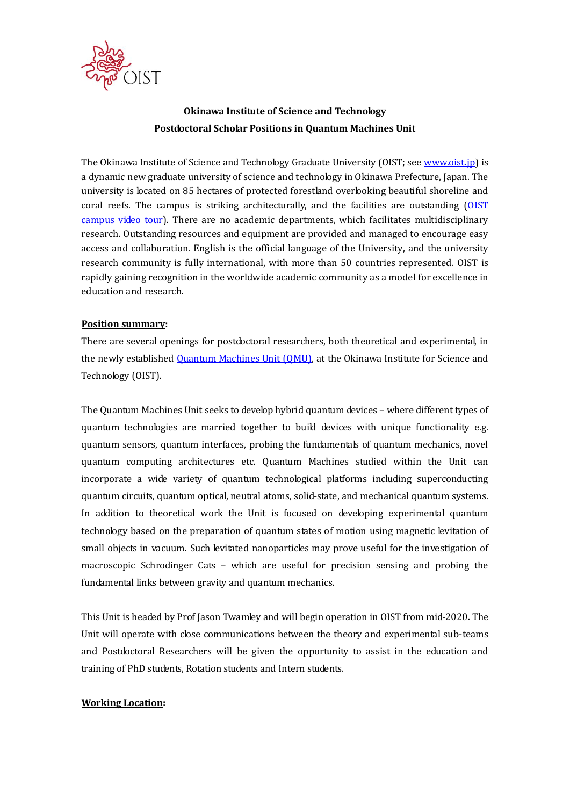

# **Okinawa Institute of Science and Technology Postdoctoral Scholar Positions in Quantum Machines Unit**

The Okinawa Institute of Science and Technology Graduate University (OIST; see [www.oist.jp\)](http://www.oist.jp/) is a dynamic new graduate university of science and technology in Okinawa Prefecture, Japan. The university is located on 85 hectares of protected forestland overlooking beautiful shoreline and coral reefs. The campus is striking architecturally, and the facilities are outstanding [\(OIST](https://youtu.be/OLeylXbZDpo)  [campus video tour\)](https://youtu.be/OLeylXbZDpo). There are no academic departments, which facilitates multidisciplinary research. Outstanding resources and equipment are provided and managed to encourage easy access and collaboration. English is the official language of the University, and the university research community is fully international, with more than 50 countries represented. OIST is rapidly gaining recognition in the worldwide academic community as a model for excellence in education and research.

### **Position summary:**

There are several openings for postdoctoral researchers, both theoretical and experimental, in the newly established [Quantum Machines Unit \(QMU\),](https://groups.oist.jp/qmech) at the Okinawa Institute for Science and Technology (OIST).

The Quantum Machines Unit seeks to develop hybrid quantum devices – where different types of quantum technologies are married together to build devices with unique functionality e.g. quantum sensors, quantum interfaces, probing the fundamentals of quantum mechanics, novel quantum computing architectures etc. Quantum Machines studied within the Unit can incorporate a wide variety of quantum technological platforms including superconducting quantum circuits, quantum optical, neutral atoms, solid-state, and mechanical quantum systems. In addition to theoretical work the Unit is focused on developing experimental quantum technology based on the preparation of quantum states of motion using magnetic levitation of small objects in vacuum. Such levitated nanoparticles may prove useful for the investigation of macroscopic Schrodinger Cats – which are useful for precision sensing and probing the fundamental links between gravity and quantum mechanics.

This Unit is headed by Prof Jason Twamley and will begin operation in OIST from mid-2020. The Unit will operate with close communications between the theory and experimental sub-teams and Postdoctoral Researchers will be given the opportunity to assist in the education and training of PhD students, Rotation students and Intern students.

# **Working Location:**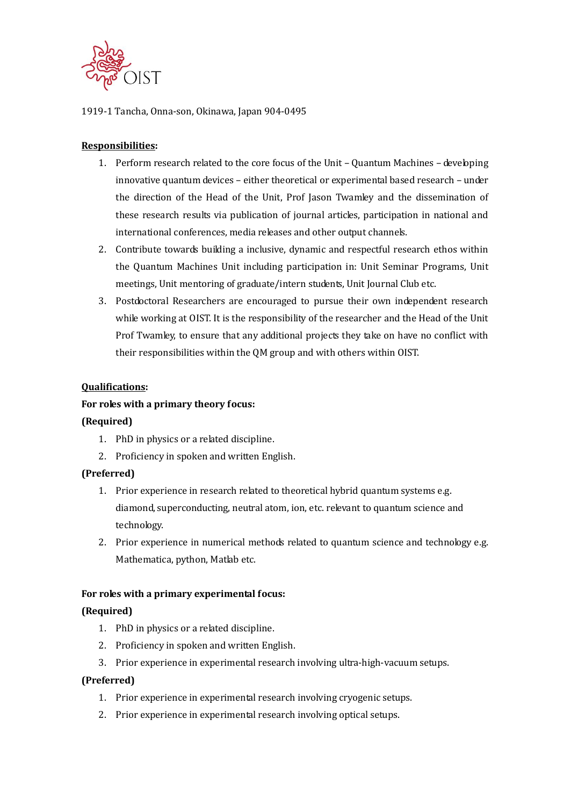

### 1919-1 Tancha, Onna-son, Okinawa, Japan 904-0495

# **Responsibilities:**

- 1. Perform research related to the core focus of the Unit Quantum Machines developing innovative quantum devices – either theoretical or experimental based research – under the direction of the Head of the Unit, Prof Jason Twamley and the dissemination of these research results via publication of journal articles, participation in national and international conferences, media releases and other output channels.
- 2. Contribute towards building a inclusive, dynamic and respectful research ethos within the Quantum Machines Unit including participation in: Unit Seminar Programs, Unit meetings, Unit mentoring of graduate/intern students, Unit Journal Club etc.
- 3. Postdoctoral Researchers are encouraged to pursue their own independent research while working at OIST. It is the responsibility of the researcher and the Head of the Unit Prof Twamley, to ensure that any additional projects they take on have no conflict with their responsibilities within the QM group and with others within OIST.

#### **Qualifications:**

### **For roles with a primary theory focus:**

#### **(Required)**

- 1. PhD in physics or a related discipline.
- 2. Proficiency in spoken and written English.

#### **(Preferred)**

- 1. Prior experience in research related to theoretical hybrid quantum systems e.g. diamond, superconducting, neutral atom, ion, etc. relevant to quantum science and technology.
- 2. Prior experience in numerical methods related to quantum science and technology e.g. Mathematica, python, Matlab etc.

#### **For roles with a primary experimental focus:**

#### **(Required)**

- 1. PhD in physics or a related discipline.
- 2. Proficiency in spoken and written English.
- 3. Prior experience in experimental research involving ultra-high-vacuum setups.

#### **(Preferred)**

- 1. Prior experience in experimental research involving cryogenic setups.
- 2. Prior experience in experimental research involving optical setups.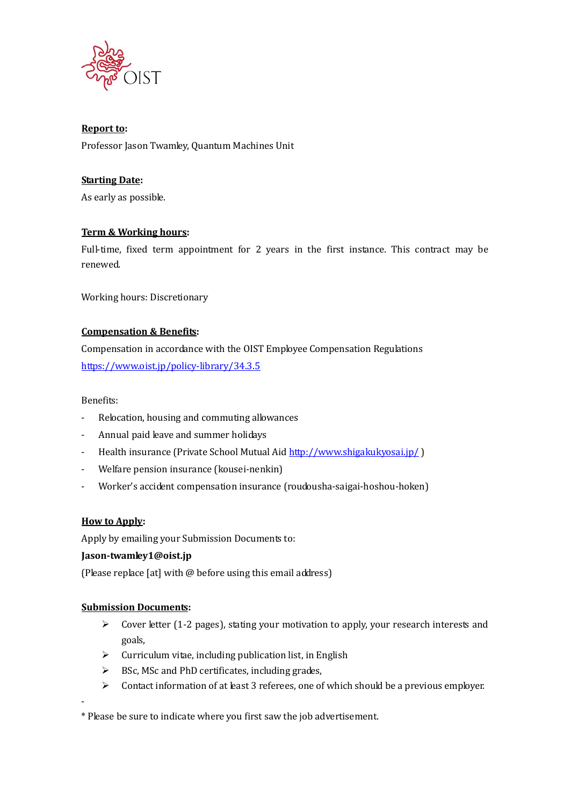

# **Report to:**

Professor Jason Twamley, Quantum Machines Unit

# **Starting Date:**

As early as possible.

# **Term & Working hours:**

Full-time, fixed term appointment for 2 years in the first instance. This contract may be renewed.

Working hours: Discretionary

# **Compensation & Benefits:**

Compensation in accordance with the OIST Employee Compensation Regulations <https://www.oist.jp/policy-library/34.3.5>

Benefits:

- Relocation, housing and commuting allowances
- Annual paid leave and summer holidays
- Health insurance (Private School Mutual Aid<http://www.shigakukyosai.jp/>)
- Welfare pension insurance (kousei-nenkin)
- Worker's accident compensation insurance (roudousha-saigai-hoshou-hoken)

# **How to Apply:**

Apply by emailing your Submission Documents to:

# **Jason-twamley1@oist.jp**

(Please replace [at] with @ before using this email address)

# **Submission Documents:**

- $\triangleright$  Cover letter (1-2 pages), stating your motivation to apply, your research interests and goals,
- $\triangleright$  Curriculum vitae, including publication list, in English
- $\triangleright$  BSc, MSc and PhD certificates, including grades,
- $\triangleright$  Contact information of at least 3 referees, one of which should be a previous employer.

-

\* Please be sure to indicate where you first saw the job advertisement.